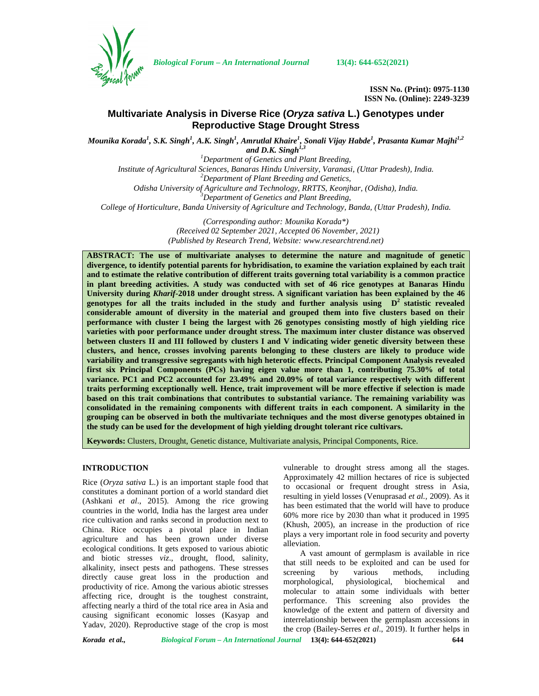

*Biological Forum – An International Journal* **13(4): 644-652(2021)**

**ISSN No. (Print): 0975-1130 ISSN No. (Online): 2249-3239**

# **Multivariate Analysis in Diverse Rice (***Oryza sativa* **L.) Genotypes under Reproductive Stage Drought Stress**

*Mounika Korada<sup>1</sup> , S.K. Singh<sup>1</sup> , A.K. Singh<sup>1</sup> , Amrutlal Khaire<sup>1</sup> , Sonali Vijay Habde<sup>1</sup> , Prasanta Kumar Majhi1,2 and D.K. Singh1,3*

*<sup>1</sup>Department of Genetics and Plant Breeding,*

*Institute of Agricultural Sciences, Banaras Hindu University, Varanasi, (Uttar Pradesh), India. <sup>2</sup>Department of Plant Breeding and Genetics,*

*Odisha University of Agriculture and Technology, RRTTS, Keonjhar, (Odisha), India. <sup>3</sup>Department of Genetics and Plant Breeding,*

*College of Horticulture, Banda University of Agriculture and Technology, Banda, (Uttar Pradesh), India.*

*(Corresponding author: Mounika Korada\*) (Received 02 September 2021, Accepted 06 November, 2021) (Published by Research Trend, Website: [www.researchtrend.net\)](www.researchtrend.net)*

**ABSTRACT: The use of multivariate analyses to determine the nature and magnitude of genetic divergence, to identify potential parents for hybridisation, to examine the variation explained by each trait and to estimate the relative contribution of different traits governing total variability is a common practice in plant breeding activities. A study was conducted with set of 46 rice genotypes at Banaras Hindu University during** *Kharif***-2018 under drought stress. A significant variation has been explained by the 46 genotypes for all the traits included in the study and further analysis using D<sup>2</sup> statistic revealed considerable amount of diversity in the material and grouped them into five clusters based on their performance with cluster I being the largest with 26 genotypes consisting mostly ofhigh yielding rice varieties with poor performance under drought stress. The maximum inter cluster distance was observed between clusters II and III followed by clusters I and V indicating wider genetic diversity between these clusters, and hence, crosses involving parents belonging to these clusters are likely to produce wide variability and transgressive segregants with high heterotic effects. Principal Component Analysis revealed first six Principal Components (PCs) having eigen value more than 1, contributing 75.30% of total variance. PC1 and PC2 accounted for 23.49% and 20.09% of total variance respectively with different traits performing exceptionally well. Hence, trait improvement will be more effective if selection is made based on this trait combinations that contributes to substantial variance. The remaining variability was consolidated in the remaining components with different traits in each component. A similarity in the grouping can be observed in both the multivariate techniques and the most diverse genotypes obtained in the study can be used for the development of high yielding drought tolerant rice cultivars.**

**Keywords:** Clusters, Drought, Genetic distance, Multivariate analysis, Principal Components, Rice.

## **INTRODUCTION**

Rice (*Oryza sativa* L.) is an important staple food that constitutes a dominant portion of a world standard diet (Ashkani *et al*., 2015). Among the rice growing countries in the world, India has the largest area under rice cultivation and ranks second in production next to China. Rice occupies a pivotal place in Indian agriculture and has been grown under diverse ecological conditions. It gets exposed to various abiotic and biotic stresses *viz*., drought, flood, salinity, alkalinity, insect pests and pathogens. These stresses directly cause great loss in the production and morphological. productivity of rice. Among the various abiotic stresses affecting rice, drought is the toughest constraint, affecting nearly a third of the total rice area in Asia and causing significant economic losses (Kasyap and Yadav, 2020). Reproductive stage of the crop is most

vulnerable to drought stress among all the stages. Approximately 42 million hectares of rice is subjected to occasional or frequent drought stress in Asia, resulting in yield losses (Venuprasad *et al.,* 2009). As it has been estimated that the world will have to produce 60% more rice by 2030 than what it produced in 1995 (Khush, 2005), an increase in the production of rice plays a very important role in food security and poverty alleviation.

A vast amount of germplasm is available in rice that still needs to be exploited and can be used for screening by various methods, including morphological, physiological, biochemical and molecular to attain some individuals with better performance. This screening also provides the knowledge of the extent and pattern of diversity and interrelationship between the germplasm accessions in the crop (Bailey-Serres *et al*., 2019). It further helps in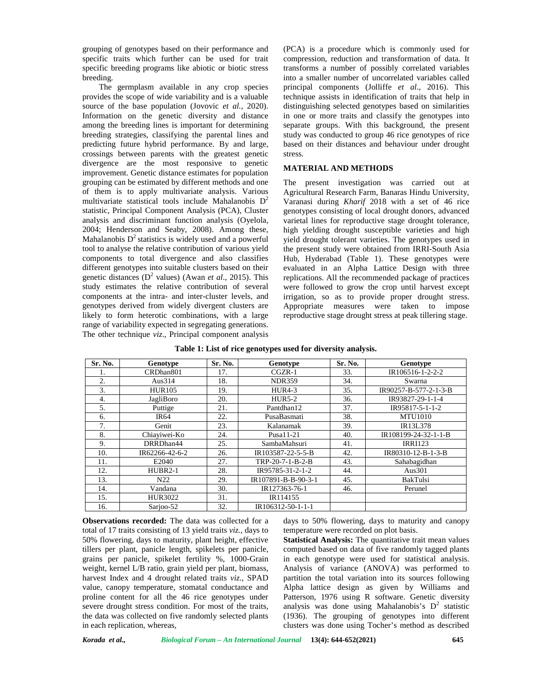grouping of genotypes based on their performance and specific traits which further can be used for trait specific breeding programs like abiotic or biotic stress breeding.

The germplasm available in any crop species provides the scope of wide variability and is a valuable source of the base population (Jovovic *et al.,* 2020). Information on the genetic diversity and distance among the breeding lines is important for determining breeding strategies, classifying the parental lines and predicting future hybrid performance. By and large, crossings between parents with the greatest genetic divergence are the most responsive to genetic improvement. Genetic distance estimates for population grouping can be estimated by different methods and one of them is to apply multivariate analysis. Various multivariate statistical tools include Mahalanobis  $D^2$ statistic, Principal Component Analysis (PCA), Cluster analysis and discriminant function analysis (Oyelola, 2004; Henderson and Seaby, 2008). Among these, Mahalanobis  $D^2$  statistics is widely used and a powerful tool to analyse the relative contribution of various yield components to total divergence and also classifies different genotypes into suitable clusters based on their genetic distances ( $D^2$  values) (Awan *et al.*, 2015). This study estimates the relative contribution of several components at the intra- and inter-cluster levels, and genotypes derived from widely divergent clusters are likely to form heterotic combinations, with a large range of variability expected in segregating generations. The other technique *viz*., Principal component analysis

(PCA) is a procedure which is commonly used for compression, reduction and transformation of data. It transforms a number of possibly correlated variables into a smaller number of uncorrelated variables called principal components (Jolliffe *et al*., 2016). This technique assists in identification of traits that help in distinguishing selected genotypes based on similarities in one or more traits and classify the genotypes into separate groups. With this background, the present study was conducted to group 46 rice genotypes of rice based on their distances and behaviour under drought stress.

#### **MATERIAL AND METHODS**

The present investigation was carried out at Agricultural Research Farm, Banaras Hindu University, Varanasi during *Kharif* 2018 with a set of 46 rice genotypes consisting of local drought donors, advanced varietal lines for reproductive stage drought tolerance, high yielding drought susceptible varieties and high yield drought tolerant varieties. The genotypes used in the present study were obtained from IRRI-South Asia Hub, Hyderabad (Table 1). These genotypes were evaluated in an Alpha Lattice Design with three replications. All the recommended package of practices were followed to grow the crop until harvest except irrigation, so as to provide proper drought stress. Appropriate measures were taken to impose reproductive stage drought stress at peak tillering stage.

| Table 1: List of rice genotypes used for diversity analysis. |  |
|--------------------------------------------------------------|--|
|--------------------------------------------------------------|--|

| Sr. No. | Genotype        | Sr. No. | Genotype            | Sr. No. | Genotype              |
|---------|-----------------|---------|---------------------|---------|-----------------------|
| ı.      | CRDhan801       | 17.     | $CGZR-1$            | 33.     | IR106516-1-2-2-2      |
| 2.      | Aus $314$       | 18.     | <b>NDR359</b>       | 34.     | Swarna                |
| 3.      | <b>HUR105</b>   | 19.     | $HUR4-3$            | 35.     | IR90257-B-577-2-1-3-B |
| 4.      | JagliBoro       | 20.     | $HUR5-2$            | 36.     | IR93827-29-1-1-4      |
| 5.      | Puttige         | 21.     | Pantdhan12          | 37.     | IR95817-5-1-1-2       |
| 6.      | <b>IR64</b>     | 22.     | PusaBasmati         | 38.     | <b>MTU1010</b>        |
| 7.      | Genit           | 23.     | Kalanamak           | 39.     | IR13L378              |
| 8.      | Chiaviwei-Ko    | 24.     | Pusa11-21           | 40.     | IR108199-24-32-1-1-B  |
| 9.      | DRRDhan44       | 25.     | SambaMahsuri        | 41.     | <b>IRRI123</b>        |
| 10.     | IR62266-42-6-2  | 26.     | IR103587-22-5-5-B   | 42.     | IR80310-12-B-1-3-B    |
| 11.     | E2040           | 27.     | TRP-20-7-1-B-2-B    | 43.     | Sahabagidhan          |
| 12.     | $HUBR2-1$       | 28.     | IR95785-31-2-1-2    | 44.     | Aus301                |
| 13.     | N <sub>22</sub> | 29.     | IR107891-B-B-90-3-1 | 45.     | <b>BakTulsi</b>       |
| 14.     | Vandana         | 30.     | IR127363-76-1       | 46.     | Perunel               |
| 15.     | HUR3022         | 31.     | IR114155            |         |                       |
| 16.     | Sarjoo-52       | 32.     | IR106312-50-1-1-1   |         |                       |

**Observations recorded:** The data was collected for a total of 17 traits consisting of 13 yield traits *viz.,* days to 50% flowering, days to maturity, plant height, effective tillers per plant, panicle length, spikelets per panicle, grains per panicle, spikelet fertility %, 1000-Grain weight, kernel L/B ratio, grain yield per plant, biomass, harvest Index and 4 drought related traits *viz*., SPAD value, canopy temperature, stomatal conductance and proline content for all the 46 rice genotypes under severe drought stress condition. For most of the traits, the data was collected on five randomly selected plants in each replication, whereas,

days to 50% flowering, days to maturity and canopy temperature were recorded on plot basis.

**Statistical Analysis:** The quantitative trait mean values computed based on data of five randomly tagged plants in each genotype were used for statistical analysis. Analysis of variance (ANOVA) was performed to partition the total variation into its sources following Alpha lattice design as given by Williams and Patterson, 1976 using R software. Genetic diversity analysis was done using Mahalanobis's  $D^2$  statistic (1936). The grouping of genotypes into different clusters was done using Tocher's method as described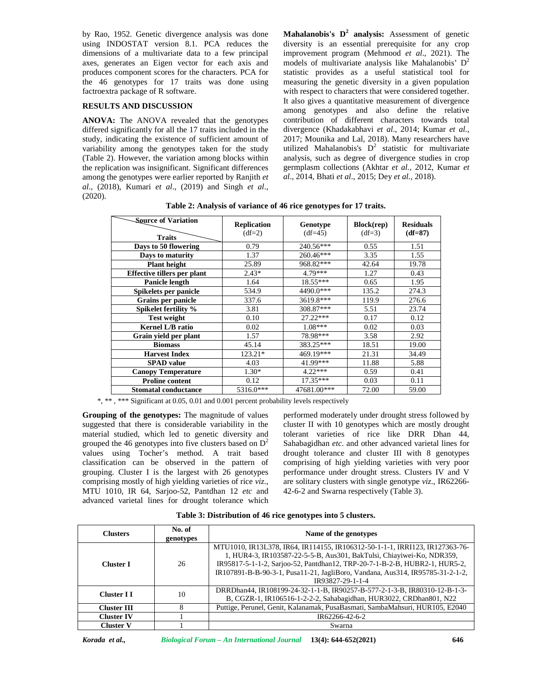by Rao, 1952. Genetic divergence analysis was done using INDOSTAT version 8.1. PCA reduces the dimensions of a multivariate data to a few principal axes, generates an Eigen vector for each axis and produces component scores for the characters. PCA for the 46 genotypes for 17 traits was done using factroextra package of R software.

## **RESULTS AND DISCUSSION**

**ANOVA:** The ANOVA revealed that the genotypes differed significantly for all the 17 traits included in the study, indicating the existence of sufficient amount of variability among the genotypes taken for the study (Table 2). However, the variation among blocks within the replication was insignificant. Significant differences among the genotypes were earlier reported by Ranjith *et al*., (2018), Kumari *et al*., (2019) and Singh *et al*., (2020).

**Mahalanobis's D<sup>2</sup> analysis:** Assessment of genetic diversity is an essential prerequisite for any crop improvement program (Mehmood *et al*., 2021). The models of multivariate analysis like Mahalanobis'  $D^2$ statistic provides as a useful statistical tool for measuring the genetic diversity in a given population with respect to characters that were considered together. It also gives a quantitative measurement of divergence among genotypes and also define the relative contribution of different characters towards total divergence (Khadakabhavi *et al*., 2014; Kumar *et al.,* 2017; Mounika and Lal, 2018). Many researchers have utilized Mahalanobis's  $D^2$  statistic for multivariate analysis, such as degree of divergence studies in crop germplasm collections (Akhtar *et al.,* 2012, Kumar *et al*., 2014, Bhati *et al*., 2015; Dey *et al.,* 2018).

| <b>Source of Variation</b><br><b>Traits</b> | <b>Replication</b><br>$(df=2)$ | Genotype<br>$(df=45)$ | Block(rep)<br>$(df=3)$ | <b>Residuals</b><br>$(df=87)$ |
|---------------------------------------------|--------------------------------|-----------------------|------------------------|-------------------------------|
| Days to 50 flowering                        | 0.79                           | 240.56***             | 0.55                   | 1.51                          |
| Days to maturity                            | 1.37                           | 260.46***             | 3.35                   | 1.55                          |
| <b>Plant height</b>                         | 25.89                          | 968.82***             | 42.64                  | 19.78                         |
| <b>Effective tillers per plant</b>          | $2.43*$                        | 4.79***               | 1.27                   | 0.43                          |
| Panicle length                              | 1.64                           | $18.55***$            | 0.65                   | 1.95                          |
| Spikelets per panicle                       | 534.9                          | 4490.0***             | 135.2                  | 274.3                         |
| Grains per panicle                          | 337.6                          | 3619.8***             | 119.9                  | 276.6                         |
| Spikelet fertility %                        | 3.81                           | 308.87***             | 5.51                   | 23.74                         |
| <b>Test weight</b>                          | 0.10                           | $27.22***$            | 0.17                   | 0.12                          |
| <b>Kernel L/B ratio</b>                     | 0.02                           | $1.08***$             | 0.02                   | 0.03                          |
| Grain yield per plant                       | 1.57                           | 78.98***              | 3.58                   | 2.92                          |
| <b>Biomass</b>                              | 45.14                          | 383.25***             | 18.51                  | 19.00                         |
| <b>Harvest Index</b>                        | 123.21*                        | 469.19***             | 21.31                  | 34.49                         |
| <b>SPAD</b> value                           | 4.03                           | 41.99***              | 11.88                  | 5.88                          |
| <b>Canopy Temperature</b>                   | $1.30*$                        | $4.22***$             | 0.59                   | 0.41                          |
| <b>Proline content</b>                      | 0.12                           | $17.35***$            | 0.03                   | 0.11                          |
| <b>Stomatal conductance</b>                 | 5316.0***                      | 47681.00***           | 72.00                  | 59.00                         |

**Table 2: Analysis of variance of 46 rice genotypes for 17 traits.**

\*, \*\* , \*\*\* Significant at 0.05, 0.01 and 0.001 percent probability levels respectively

**Grouping of the genotypes:** The magnitude of values suggested that there is considerable variability in the material studied, which led to genetic diversity and grouped the 46 genotypes into five clusters based on  $D^2$ values using Tocher's method. A trait based classification can be observed in the pattern of grouping. Cluster I is the largest with 26 genotypes comprising mostly of high yielding varieties of rice *viz*., MTU 1010, IR 64, Sarjoo-52, Pantdhan 12 *etc* and advanced varietal lines for drought tolerance which performed moderately under drought stress followed by cluster II with 10 genotypes which are mostly drought tolerant varieties of rice like DRR Dhan 44, Sahabagidhan *etc*. and other advanced varietal lines for drought tolerance and cluster III with 8 genotypes comprising of high yielding varieties with very poor performance under drought stress. Clusters IV and V are solitary clusters with single genotype *viz*., IR62266- 42-6-2 and Swarna respectively (Table 3).

|        | Table 3: Distribution of 46 rice genotypes into 5 clusters. |
|--------|-------------------------------------------------------------|
| No. of |                                                             |

| <b>Clusters</b>                     | Name of the genotypes |                                                                                                                                                                                                                                                                                                                                         |  |  |
|-------------------------------------|-----------------------|-----------------------------------------------------------------------------------------------------------------------------------------------------------------------------------------------------------------------------------------------------------------------------------------------------------------------------------------|--|--|
| genotypes<br>26<br><b>Cluster I</b> |                       | MTU1010, IR13L378, IR64, IR114155, IR106312-50-1-1-1, IRRI123, IR127363-76-<br>1, HUR4-3, IR103587-22-5-5-B, Aus301, BakTulsi, Chiayiwei-Ko, NDR359,<br>IR95817-5-1-1-2, Sarjoo-52, Pantdhan12, TRP-20-7-1-B-2-B, HUBR2-1, HUR5-2,<br>IR107891-B-B-90-3-1, Pusa11-21, JagliBoro, Vandana, Aus314, IR95785-31-2-1-2,<br>IR93827-29-1-1-4 |  |  |
| 10<br><b>Cluster II</b>             |                       | DRRDhan44, IR108199-24-32-1-1-B, IR90257-B-577-2-1-3-B, IR80310-12-B-1-3-<br>B, CGZR-1, IR106516-1-2-2-2, Sahabagidhan, HUR3022, CRDhan801, N22                                                                                                                                                                                         |  |  |
| 8<br><b>Cluster III</b>             |                       | Puttige, Perunel, Genit, Kalanamak, PusaBasmati, SambaMahsuri, HUR105, E2040                                                                                                                                                                                                                                                            |  |  |
| <b>Cluster IV</b>                   |                       | IR62266-42-6-2                                                                                                                                                                                                                                                                                                                          |  |  |
| <b>Cluster V</b>                    |                       | Swarna                                                                                                                                                                                                                                                                                                                                  |  |  |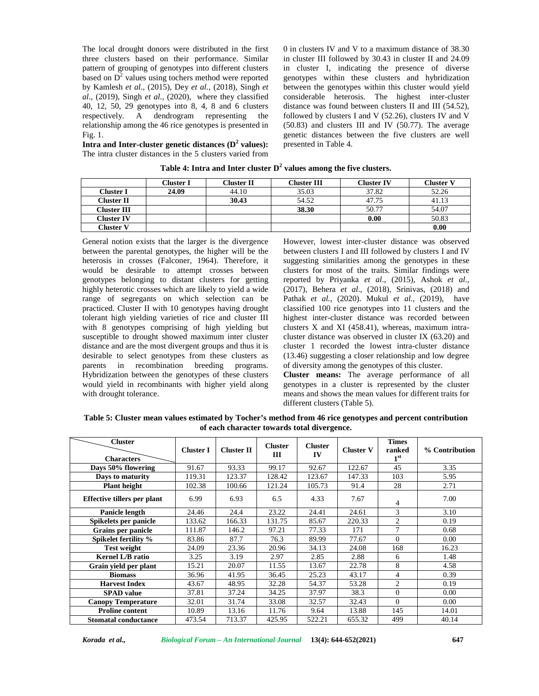The local drought donors were distributed in the first three clusters based on their performance. Similar pattern of grouping of genotypes into different clusters based on  $D<sup>2</sup>$  values using tochers method were reported by Kamlesh *et al*., (2015), Dey *et al.,* (2018), Singh *et al*., (2019), Singh *et al.,* (2020), where they classified 40, 12, 50, 29 genotypes into 8, 4, 8 and 6 clusters respectively. A dendrogram representing the relationship among the 46 rice genotypes is presented in Fig. 1.

**Intra and Inter-cluster genetic distances (D<sup>2</sup> values):** The intra cluster distances in the 5 clusters varied from 0 in clusters IV and V to a maximum distance of 38.30 in cluster III followed by 30.43 in cluster II and 24.09 in cluster I, indicating the presence of diverse genotypes within these clusters and hybridization between the genotypes within this cluster would yield considerable heterosis. The highest inter-cluster distance was found between clusters II and III (54.52), followed by clusters I and V (52.26), clusters IV and V (50.83) and clusters III and IV (50.77). The average genetic distances between the five clusters are well presented in Table 4.

|                    | Cluster I | Cluster II | <b>Cluster III</b> | <b>Cluster IV</b> | Cluster V |
|--------------------|-----------|------------|--------------------|-------------------|-----------|
| Cluster I          | 24.09     | 44.10      | 35.03              | 37.82             | 52.26     |
| <b>Cluster II</b>  |           | 30.43      | 54.52              | 47.75             | 41.13     |
| <b>Cluster III</b> |           |            | 38.30              | 50.77             | 54.07     |
| Cluster IV         |           |            |                    | 0.00              | 50.83     |
| Cluster V          |           |            |                    |                   | 0.00      |

**Table 4: Intra and Inter cluster D<sup>2</sup> values among the five clusters.**

General notion exists that the larger is the divergence between the parental genotypes, the higher will be the heterosis in crosses (Falconer, 1964). Therefore, it would be desirable to attempt crosses between genotypes belonging to distant clusters for getting highly heterotic crosses which are likely to yield a wide range of segregants on which selection can be practiced. Cluster II with 10 genotypes having drought tolerant high yielding varieties of rice and cluster III with 8 genotypes comprising of high yielding but susceptible to drought showed maximum inter cluster distance and are the most divergent groups and thus it is desirable to select genotypes from these clusters as parents in recombination breeding programs. Hybridization between the genotypes of these clusters would yield in recombinants with higher yield along with drought tolerance.

However, lowest inter-cluster distance was observed between clusters I and III followed by clusters I and IV suggesting similarities among the genotypes in these clusters for most of the traits. Similar findings were reported by Priyanka *et al*., (2015), Ashok *et al.,* (2017), Behera *et al*., (2018), Srinivas, (2018) and Pathak *et al.,* (2020). Mukul *et al.,* (2019), have classified 100 rice genotypes into 11 clusters and the highest inter-cluster distance was recorded between clusters X and XI (458.41), whereas, maximum intra cluster distance was observed in cluster IX (63.20) and cluster 1 recorded the lowest intra-cluster distance (13.46) suggesting a closer relationship and low degree of diversity among the genotypes of this cluster.

**Cluster means:** The average performance of all genotypes in a cluster is represented by the cluster means and shows the mean values for different traits for different clusters (Table 5).

**Table 5: Cluster mean values estimated by Tocher's method from 46 rice genotypes and percent contribution of each character towards total divergence.**

| <b>Cluster</b><br><b>Characters</b> | <b>Cluster I</b> | <b>Cluster II</b> | <b>Cluster</b><br>Ш | <b>Cluster</b><br>IV | <b>Cluster V</b> | <b>Times</b><br>ranked<br>1 <sup>st</sup> | % Contribution |
|-------------------------------------|------------------|-------------------|---------------------|----------------------|------------------|-------------------------------------------|----------------|
| Days 50% flowering                  | 91.67            | 93.33             | 99.17               | 92.67                | 122.67           | 45                                        | 3.35           |
| Days to maturity                    | 119.31           | 123.37            | 128.42              | 123.67               | 147.33           | 103                                       | 5.95           |
| <b>Plant height</b>                 | 102.38           | 100.66            | 121.24              | 105.73               | 91.4             | 28                                        | 2.71           |
| <b>Effective tillers per plant</b>  | 6.99             | 6.93              | 6.5                 | 4.33                 | 7.67             | 4                                         | 7.00           |
| Panicle length                      | 24.46            | 24.4              | 23.22               | 24.41                | 24.61            | 3                                         | 3.10           |
| Spikelets per panicle               | 133.62           | 166.33            | 131.75              | 85.67                | 220.33           | $\overline{2}$                            | 0.19           |
| Grains per panicle                  | 111.87           | 146.2             | 97.21               | 77.33                | 171              | 7                                         | 0.68           |
| Spikelet fertility %                | 83.86            | 87.7              | 76.3                | 89.99                | 77.67            | $\Omega$                                  | 0.00           |
| <b>Test weight</b>                  | 24.09            | 23.36             | 20.96               | 34.13                | 24.08            | 168                                       | 16.23          |
| Kernel L/B ratio                    | 3.25             | 3.19              | 2.97                | 2.85                 | 2.88             | 6                                         | 1.48           |
| Grain yield per plant               | 15.21            | 20.07             | 11.55               | 13.67                | 22.78            | 8                                         | 4.58           |
| <b>Biomass</b>                      | 36.96            | 41.95             | 36.45               | 25.23                | 43.17            | 4                                         | 0.39           |
| <b>Harvest Index</b>                | 43.67            | 48.95             | 32.28               | 54.37                | 53.28            | 2                                         | 0.19           |
| <b>SPAD</b> value                   | 37.81            | 37.24             | 34.25               | 37.97                | 38.3             | $\Omega$                                  | 0.00           |
| <b>Canopy Temperature</b>           | 32.01            | 31.74             | 33.08               | 32.57                | 32.43            | $\Omega$                                  | 0.00           |
| <b>Proline content</b>              | 10.89            | 13.16             | 11.76               | 9.64                 | 13.88            | 145                                       | 14.01          |
| <b>Stomatal conductance</b>         | 473.54           | 713.37            | 425.95              | 522.21               | 655.32           | 499                                       | 40.14          |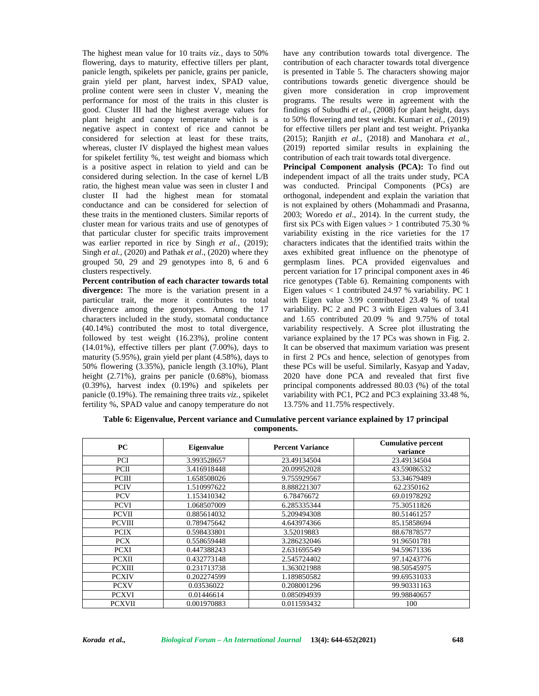The highest mean value for 10 traits *viz.,* days to 50% flowering, days to maturity, effective tillers per plant, panicle length, spikelets per panicle, grains per panicle, grain yield per plant, harvest index, SPAD value, proline content were seen in cluster V, meaning the performance for most of the traits in this cluster is good. Cluster III had the highest average values for plant height and canopy temperature which is a negative aspect in context of rice and cannot be considered for selection at least for these traits, whereas, cluster IV displayed the highest mean values for spikelet fertility %, test weight and biomass which is a positive aspect in relation to yield and can be considered during selection. In the case of kernel L/B ratio, the highest mean value was seen in cluster I and cluster II had the highest mean for stomatal conductance and can be considered for selection of these traits in the mentioned clusters. Similar reports of cluster mean for various traits and use of genotypes of that particular cluster for specific traits improvement was earlier reported in rice by Singh *et al.,* (2019); Singh *et al.,* (2020) and Pathak *et al*., (2020) where they grouped 50, 29 and 29 genotypes into 8, 6 and 6 clusters respectively.

**Percent contribution of each character towards total divergence:** The more is the variation present in a particular trait, the more it contributes to total divergence among the genotypes. Among the 17 characters included in the study, stomatal conductance (40.14%) contributed the most to total divergence, followed by test weight (16.23%), proline content  $(14.01\%)$ , effective tillers per plant  $(7.00\%)$ , days to maturity (5.95%), grain yield per plant (4.58%), days to 50% flowering (3.35%), panicle length (3.10%), Plant height (2.71%), grains per panicle (0.68%), biomass (0.39%), harvest index (0.19%) and spikelets per panicle (0.19%). The remaining three traits *viz.,* spikelet fertility %, SPAD value and canopy temperature do not have any contribution towards total divergence. The contribution of each character towards total divergence is presented in Table 5. The characters showing major contributions towards genetic divergence should be given more consideration in crop improvement programs. The results were in agreement with the findings of Subudhi *et al*., (2008) for plant height, days to 50% flowering and test weight. Kumari *et al.,* (2019) for effective tillers per plant and test weight. Priyanka (2015); Ranjith *et al*., (2018) and Manohara *et al.,* (2019) reported similar results in explaining the contribution of each trait towards total divergence.

**Principal Component analysis (PCA):** To find out independent impact of all the traits under study, PCA was conducted. Principal Components (PCs) are orthogonal, independent and explain the variation that is not explained by others (Mohammadi and Prasanna, 2003; Woredo *et al*., 2014). In the current study, the first six PCs with Eigen values  $> 1$  contributed 75.30 % variability existing in the rice varieties for the 17 characters indicates that the identified traits within the axes exhibited great influence on the phenotype of germplasm lines. PCA provided eigenvalues and percent variation for 17 principal component axes in 46 rice genotypes (Table 6). Remaining components with Eigen values < 1 contributed 24.97 % variability. PC 1 with Eigen value 3.99 contributed 23.49 % of total variability. PC 2 and PC 3 with Eigen values of 3.41 and 1.65 contributed 20.09 % and 9.75% of total variability respectively. A Scree plot illustrating the variance explained by the 17 PCs was shown in Fig.2. It can be observed that maximum variation was present in first 2 PCs and hence, selection of genotypes from these PCs will be useful. Similarly, Kasyap and Yadav, 2020 have done PCA and revealed that first five principal components addressed 80.03 (%) of the total variability with PC1, PC2 and PC3 explaining 33.48 %, 13.75% and 11.75% respectively.

**Table 6: Eigenvalue, Percent variance and Cumulative percent variance explained by 17 principal components.**

| PC            | Eigenvalue  | <b>Percent Variance</b> | <b>Cumulative percent</b><br>variance |
|---------------|-------------|-------------------------|---------------------------------------|
| <b>PCI</b>    | 3.993528657 | 23.49134504             | 23.49134504                           |
| <b>PCII</b>   | 3.416918448 | 20.09952028             | 43.59086532                           |
| PCIII         | 1.658508026 | 9.755929567             | 53.34679489                           |
| <b>PCIV</b>   | 1.510997622 | 8.888221307             | 62.2350162                            |
| <b>PCV</b>    | 1.153410342 | 6.78476672              | 69.01978292                           |
| <b>PCVI</b>   | 1.068507009 | 6.285335344             | 75.30511826                           |
| <b>PCVII</b>  | 0.885614032 | 5.209494308             | 80.51461257                           |
| <b>PCVIII</b> | 0.789475642 | 4.643974366             | 85.15858694                           |
| <b>PCIX</b>   | 0.598433801 | 3.52019883              | 88.67878577                           |
| <b>PCX</b>    | 0.558659448 | 3.286232046             | 91.96501781                           |
| <b>PCXI</b>   | 0.447388243 | 2.631695549             | 94.59671336                           |
| <b>PCXII</b>  | 0.432773148 | 2.545724402             | 97.14243776                           |
| <b>PCXIII</b> | 0.231713738 | 1.363021988             | 98.50545975                           |
| <b>PCXIV</b>  | 0.202274599 | 1.189850582             | 99.69531033                           |
| <b>PCXV</b>   | 0.03536022  | 0.208001296             | 99.90331163                           |
| <b>PCXVI</b>  | 0.01446614  | 0.085094939             | 99.98840657                           |
| <b>PCXVII</b> | 0.001970883 | 0.011593432             | 100                                   |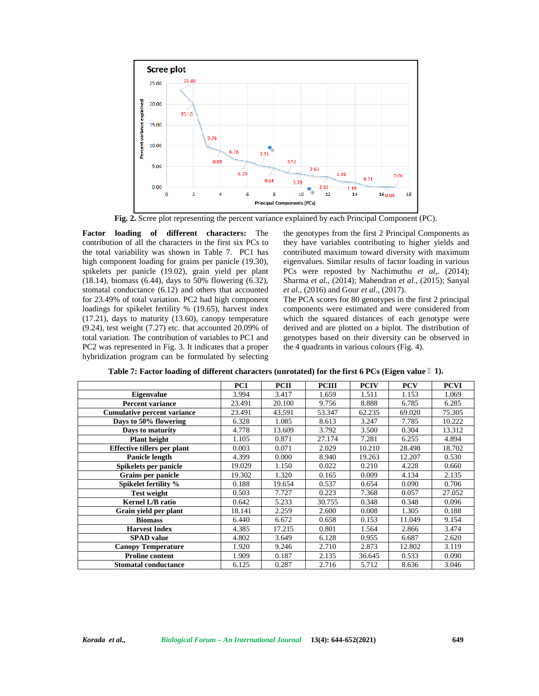

**Fig. 2.** Scree plot representing the percent variance explained by each Principal Component (PC).

**Factor loading of different characters:** The contribution of all the characters in the first six PCs to the total variability was shown in Table 7. PC1 has high component loading for grains per panicle (19.30), spikelets per panicle (19.02), grain yield per plant (18.14), biomass (6.44), days to 50% flowering (6.32), stomatal conductance (6.12) and others that accounted for 23.49% of total variation. PC2 had high component loadings for spikelet fertility % (19.65), harvest index (17.21), days to maturity (13.60), canopy temperature  $(9.24)$ , test weight  $(7.27)$  etc. that accounted  $20.09\%$  of total variation. The contribution of variables to PC1 and PC2 was represented in Fig. 3. It indicates that a proper hybridization program can be formulated by selecting

the genotypes from the first 2 Principal Components as they have variables contributing to higher yields and contributed maximum toward diversity with maximum eigenvalues. Similar results of factor loading in various PCs were reposted by Nachimuthu *et al,.* (2014); Sharma *et al.,* (2014); Mahendran *et al.,* (2015); Sanyal *et al.,* (2016) and Gour *et al*., (2017).

The PCA scores for 80 genotypes in the first 2 principal components were estimated and were considered from which the squared distances of each genotype were derived and are plotted on a biplot. The distribution of genotypes based on their diversity can be observed in the 4 quadrants in various colours (Fig. 4).

|                                    | PC <sub>1</sub> | <b>PCII</b> | <b>PCIII</b> | <b>PCIV</b> | <b>PCV</b> | <b>PCVI</b> |
|------------------------------------|-----------------|-------------|--------------|-------------|------------|-------------|
| <b>Eigenvalue</b>                  | 3.994           | 3.417       | 1.659        | 1.511       | 1.153      | 1.069       |
| <b>Percent variance</b>            | 23.491          | 20.100      | 9.756        | 8.888       | 6.785      | 6.285       |
| <b>Cumulative percent variance</b> | 23.491          | 43.591      | 53.347       | 62.235      | 69.020     | 75.305      |
| Days to 50% flowering              | 6.328           | 1.085       | 8.613        | 3.247       | 7.785      | 10.222      |
| Days to maturity                   | 4.778           | 13.609      | 3.792        | 3.500       | 0.304      | 13.312      |
| Plant height                       | 1.105           | 0.871       | 27.174       | 7.281       | 6.255      | 4.894       |
| Effective tillers per plant        | 0.003           | 0.071       | 2.029        | 10.210      | 28.498     | 18.702      |
| <b>Panicle length</b>              | 4.399           | 0.000       | 8.940        | 19.263      | 12.207     | 0.530       |
| Spikelets per panicle              | 19.029          | 1.150       | 0.022        | 0.210       | 4.228      | 0.660       |
| Grains per panicle                 | 19.302          | 1.320       | 0.165        | 0.009       | 4.134      | 2.135       |
| Spikelet fertility %               | 0.188           | 19.654      | 0.537        | 0.654       | 0.090      | 0.706       |
| <b>Test weight</b>                 | 0.503           | 7.727       | 0.223        | 7.368       | 0.057      | 27.052      |
| <b>Kernel L/B ratio</b>            | 0.642           | 5.233       | 30.755       | 0.348       | 0.348      | 0.096       |
| Grain vield per plant              | 18.141          | 2.259       | 2.600        | 0.008       | 1.305      | 0.188       |
| <b>Biomass</b>                     | 6.440           | 6.672       | 0.658        | 0.153       | 11.049     | 9.154       |
| <b>Harvest Index</b>               | 4.385           | 17.215      | 0.801        | 1.564       | 2.866      | 3.474       |
| <b>SPAD</b> value                  | 4.802           | 3.649       | 6.128        | 0.955       | 6.687      | 2.620       |
| <b>Canopy Temperature</b>          | 1.920           | 9.246       | 2.710        | 2.873       | 12.802     | 3.119       |
| <b>Proline content</b>             | 1.909           | 0.187       | 2.135        | 36.645      | 0.533      | 0.090       |
| <b>Stomatal conductance</b>        | 6.125           | 0.287       | 2.716        | 5.712       | 8.636      | 3.046       |

**Table 7: Factor loading of different characters (unrotated) for the first 6 PCs (Eigen value ˃ 1).**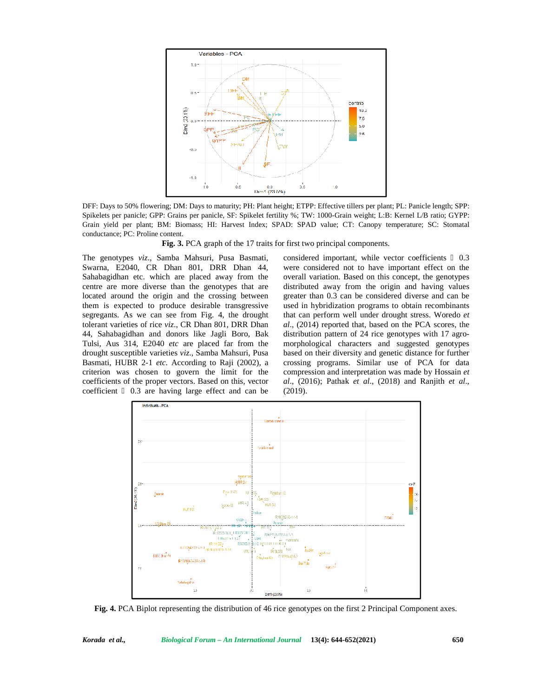

DFF: Days to 50% flowering; DM: Days to maturity; PH: Plant height; ETPP: Effective tillers per plant; PL: Panicle length; SPP: Spikelets per panicle; GPP: Grains per panicle, SF: Spikelet fertility %; TW: 1000-Grain weight; L:B: Kernel L/B ratio; GYPP: Grain yield per plant; BM: Biomass; HI: Harvest Index; SPAD: SPAD value; CT: Canopy temperature; SC: Stomatal conductance; PC: Proline content.

**Fig. 3.** PCA graph of the 17 traits for first two principal components.

The genotypes *viz*., Samba Mahsuri, Pusa Basmati, Swarna, E2040, CR Dhan 801, DRR Dhan 44, Sahabagidhan etc. which are placed away from the centre are more diverse than the genotypes that are located around the origin and the crossing between them is expected to produce desirable transgressive segregants. As we can see from Fig. 4, the drought tolerant varieties of rice *viz*., CR Dhan 801, DRR Dhan 44, Sahabagidhan and donors like Jagli Boro, Bak Tulsi, Aus 314, E2040 *etc* are placed far from the drought susceptible varieties *viz*., Samba Mahsuri, Pusa Basmati, HUBR 2-1 *etc*. According to Raji (2002), a criterion was chosen to govern the limit for the coefficients of the proper vectors. Based on this, vector coefficient 0.3 are having large effect and can be considered important, while vector coefficients 0.3 were considered not to have important effect on the overall variation. Based on this concept, the genotypes distributed away from the origin and having values greater than 0.3 can be considered diverse and can be used in hybridization programs to obtain recombinants that can perform well under drought stress. Woredo *et al*., (2014) reported that, based on the PCA scores, the distribution pattern of 24 rice genotypes with 17 agro morphological characters and suggested genotypes based on their diversity and genetic distance for further crossing programs. Similar use of PCA for data compression and interpretation was made by Hossain *et al*., (2016); Pathak *et al*., (2018) and Ranjith *et al*., (2019).



**Fig. 4.** PCA Biplot representing the distribution of 46 rice genotypes on the first 2 Principal Component axes.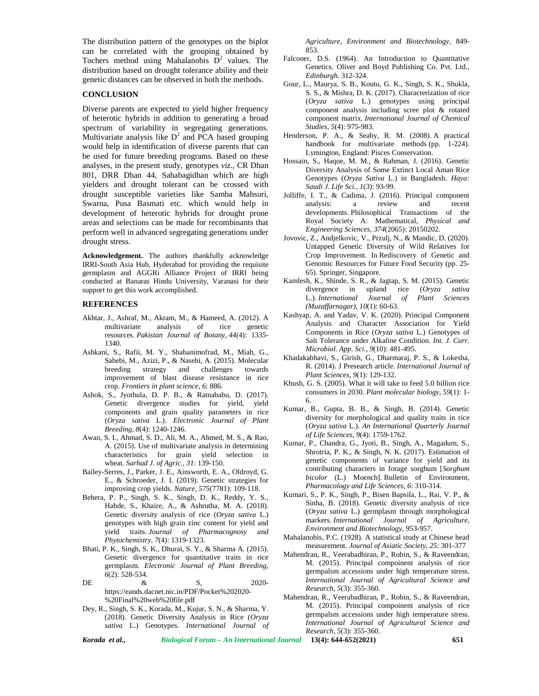The distribution pattern of the genotypes on the biplot can be correlated with the grouping obtained by Tochers method using Mahalanobis  $\overline{D}^2$  values. The distribution based on drought tolerance ability and their genetic distances can be observed in both the methods.

#### **CONCLUSION**

Diverse parents are expected to yield higher frequency of heterotic hybrids in addition to generating a broad spectrum of variability in segregating generations. Multivariate analysis like  $D^2$  and PCA based grouping would help in identification of diverse parents that can be used for future breeding programs. Based on these analyses, in the present study, genotypes *viz*., CR Dhan 801, DRR Dhan 44, Sahabagidhan which are high yielders and drought tolerant can be crossed with drought susceptible varieties like Samba Mahsuri, Swarna, Pusa Basmati etc. which would help in development of heterotic hybrids for drought prone areas and selections can be made for recombinants that perform well in advanced segregating generations under drought stress.

**Acknowledgement.** The authors thankfully acknowledge IRRI-South Asia Hub, Hyderabad for providing the requisite germplasm and AGGRi Alliance Project of IRRI being conducted at Banaras Hindu University, Varanasi for their support to get this work accomplished.

#### **REFERENCES**

- Akhtar, J., Ashraf, M., Akram, M., & Hameed, A. (2012). A multivariate analysis of rice genetic resources. *Pakistan Journal of Botany, 44(*4): 1335- 1340.
- Ashkani, S., Rafii, M. Y., Shabanimofrad, M., Miah, G., Sahebi, M., Azizi, P., & Nasehi, A. (2015). Molecular breeding strategy and challenges towards improvement of blast disease resistance in rice crop. *Frontiers in plant science, 6*: 886.
- Ashok, S., Jyothula, D. P. B., & Ratnababu, D. (2017). Genetic divergence studies for yield, yield components and grain quality parameters in rice (*Oryza sativa* L.). *Electronic Journal of Plant Breeding, 8*(4): 1240-1246.
- Awan, S. I., Ahmad, S. D., Ali, M. A., Ahmed, M. S., & Rao, A. (2015). Use of multivariate analysis in determining characteristics for grain yield selection in wheat. *Sarhad J. of Agric., 31*: 139-150.
- Bailey-Serres, J., Parker, J. E., Ainsworth, E. A., Oldroyd, G. E., & Schroeder, J. I. (2019). Genetic strategies for improving crop yields. *Nature, 575*(7781): 109-118.
- Behera, P. P., Singh, S. K., Singh, D. K., Reddy, Y. S., Habde, S., Khaire, A., & Ashrutha, M. A. (2018). Genetic diversity analysis of rice (*Oryza sativa* L.) genotypes with high grain zinc content for yield and yield traits. *Journal of Pharmacognosy and Phytochemistry, 7*(4): 1319-1323.
- Bhati, P. K., Singh, S. K., Dhurai, S. Y., & Sharma A. (2015). Genetic divergence for quantitative traits in rice germplasm. *Electronic Journal of Plant Breeding, 6*(2): 528-534.
- DE  $\&$  S, 2020https://eands.dacnet.nic.in/PDF/Pocket%202020- %20Final%20web%20file.pdf
- Dey, R., Singh, S. K., Korada, M., Kujur, S. N., & Sharma, Y. (2018). Genetic Diversity Analysis in Rice (*Oryza sativa* L.) Genotypes. *International Journal of*

*Agriculture, Environment and Biotechnology,* 849- 853.

- Falconer, D.S. (1964). An Introduction to Quantitative Genetics. Oliver and Boyd Publishing Co. Pvt. Ltd., *Edinburgh*. 312-324.
- Gour, L., Maurya, S. B., Koutu, G. K., Singh, S. K., Shukla, S. S., & Mishra, D. K. (2017). Characterization of rice (*Oryza sativa* L.) genotypes using principal component analysis including scree plot & rotated component matrix. *International Journal of Chemical Studies, 5*(4): 975-983.
- Henderson, P. A., & Seaby, R. M. (2008). A practical handbook for multivariate methods (pp. 1-224). Lymington, England: Pisces Conservation.
- Hossain, S., Haque, M. M., & Rahman, J. (2016). Genetic Diversity Analysis of Some Extinct Local Aman Rice Genotypes (*Oryza Sativa* L.) in Bangladesh. *Haya: Saudi J. Life Sci., 1*(3): 93-99.
- Jolliffe, I. T., & Cadima, J. (2016). Principal component analysis: a review and recent developments. Philosophical Transactions of the Royal Society A: Mathematical, *Physical and Engineering Sciences, 374*(2065): 20150202.
- Jovovic, Z., Andjelkovic, V., Przulj, N., & Mandic, D. (2020). Untapped Genetic Diversity of Wild Relatives for Crop Improvement. In Rediscovery of Genetic and Genomic Resources for Future Food Security (pp. 25- 65). Springer, Singapore.
- Kamlesh, K., Shinde, S. R., & Jagtap, S. M. (2015). Genetic divergence in upland rice (*Oryza sativa* L.). *International Journal of Plant Sciences (Muzaffarnagar), 10*(1): 60-63.
- Kashyap, A. and Yadav, V. K. (2020). Principal Component Analysis and Character Association for Yield Components in Rice (*Oryza sativa* L.) Genotypes of Salt Tolerance under Alkaline Condition. *Int. J. Curr. Microbiol. App. Sci., 9*(10): 481-495.
- Khadakabhavi, S., Girish, G., Dharmaraj, P. S., & Lokesha, R. (2014). J Presearch article. *International Journal of Plant Sciences, 9*(1): 129-132.
- Khush, G. S. (2005). What it will take to feed 5.0 billion rice consumers in 2030. *Plant molecular biology, 59*(1): 1- 6.
- Kumar, B., Gupta, B. B., & Singh, B. (2014). Genetic diversity for morphological and quality traits in rice (*Oryza sativa* L.). *An International Quarterly Journal of Life Sciences, 9*(4): 1759-1762.
- Kumar, P., Chandra, G., Jyoti, B., Singh, A., Magadum, S., Shrotria, P. K., & Singh, N. K. (2017). Estimation of genetic components of variance for yield and its contributing characters in forage sorghum [*Sorghum bicolor* (L.) Moench]. Bulletin of Environment, *Pharmacology and Life Sciences, 6*: 310-314.
- Kumari, S., P. K., Singh, P., Bisen Bapsila, L., Rai, V. P., & Sinha, B. (2018). Genetic diversity analysis of rice (*Oryza sativa* L.) germplasm through morphological markers. *International Journal of Agriculture, Environment and Biotechnology,* 953-957.
- Mahalanobis, P.C. (1928). A statistical study at Chinese head measurement. *Journal of Asiatic Society, 25*: 301-377
- Mahendran, R., Veerabadhiran, P., Robin, S., & Raveendran, M. (2015). Principal compoinent analysis of rice germpalsm accessions under high temperature stress. *International Journal of Agricultural Science and Research, 5*(3): 355-360.
- Mahendran, R., Veerabadhiran, P., Robin, S., & Raveendran, M. (2015). Principal compoinent analysis of rice germpalsm accessions under high temperature stress. *International Journal of Agricultural Science and Research, 5*(3): 355-360.

*Korada et al., Biological Forum – An International Journal* **13(4): 644-652(2021) 651**